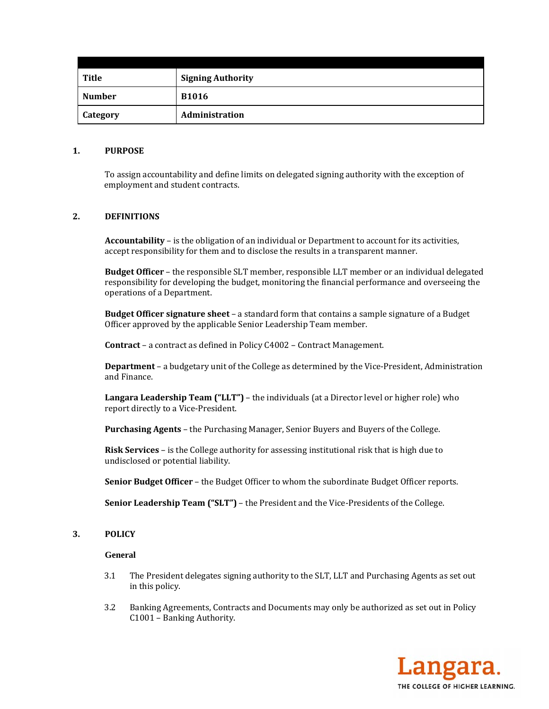| Title         | <b>Signing Authority</b> |
|---------------|--------------------------|
| <b>Number</b> | <b>B1016</b>             |
| Category      | Administration           |

### **1. PURPOSE**

To assign accountability and define limits on delegated signing authority with the exception of employment and student contracts.

## **2. DEFINITIONS**

**Accountability** – is the obligation of an individual or Department to account for its activities, accept responsibility for them and to disclose the results in a transparent manner.

**Budget Officer** – the responsible SLT member, responsible LLT member or an individual delegated responsibility for developing the budget, monitoring the financial performance and overseeing the operations of a Department.

**Budget Officer signature sheet** – a standard form that contains a sample signature of a Budget Officer approved by the applicable Senior Leadership Team member.

**Contract** – a contract as defined in Policy C4002 – Contract Management.

**Department** – a budgetary unit of the College as determined by the Vice-President, Administration and Finance.

**Langara Leadership Team ("LLT")** – the individuals (at a Director level or higher role) who report directly to a Vice-President.

**Purchasing Agents** – the Purchasing Manager, Senior Buyers and Buyers of the College.

**Risk Services** – is the College authority for assessing institutional risk that is high due to undisclosed or potential liability.

**Senior Budget Officer** – the Budget Officer to whom the subordinate Budget Officer reports.

**Senior Leadership Team ("SLT")** – the President and the Vice-Presidents of the College.

### **3. POLICY**

#### **General**

- 3.1 The President delegates signing authority to the SLT, LLT and Purchasing Agents as set out in this policy.
- 3.2 Banking Agreements, Contracts and Documents may only be authorized as set out in Policy C1001 - Banking Authority.

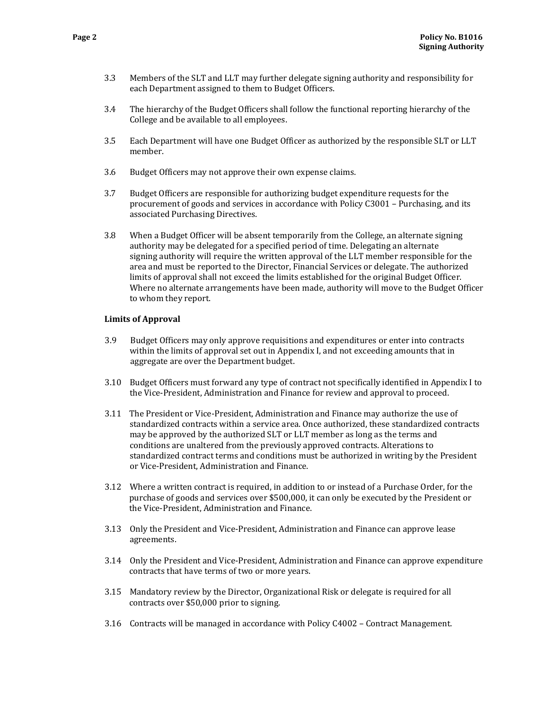- 3.3 Members of the SLT and LLT may further delegate signing authority and responsibility for each Department assigned to them to Budget Officers.
- 3.4 The hierarchy of the Budget Officers shall follow the functional reporting hierarchy of the College and be available to all employees.
- 3.5 Each Department will have one Budget Officer as authorized by the responsible SLT or LLT member.
- 3.6 Budget Officers may not approve their own expense claims.
- 3.7 Budget Officers are responsible for authorizing budget expenditure requests for the procurement of goods and services in accordance with Policy C3001 – Purchasing, and its associated Purchasing Directives.
- 3.8 When a Budget Officer will be absent temporarily from the College, an alternate signing authority may be delegated for a specified period of time. Delegating an alternate signing authority will require the written approval of the LLT member responsible for the area and must be reported to the Director, Financial Services or delegate. The authorized limits of approval shall not exceed the limits established for the original Budget Officer. Where no alternate arrangements have been made, authority will move to the Budget Officer to whom they report.

### **Limits of Approval**

- 3.9 Budget Officers may only approve requisitions and expenditures or enter into contracts within the limits of approval set out in Appendix I, and not exceeding amounts that in aggregate are over the Department budget.
- 3.10 Budget Officers must forward any type of contract not specifically identified in Appendix I to the Vice-President, Administration and Finance for review and approval to proceed.
- 3.11 The President or Vice-President, Administration and Finance may authorize the use of standardized contracts within a service area. Once authorized, these standardized contracts may be approved by the authorized SLT or LLT member as long as the terms and conditions are unaltered from the previously approved contracts. Alterations to standardized contract terms and conditions must be authorized in writing by the President or Vice-President, Administration and Finance.
- 3.12 Where a written contract is required, in addition to or instead of a Purchase Order, for the purchase of goods and services over \$500,000, it can only be executed by the President or the Vice-President, Administration and Finance.
- 3.13 Only the President and Vice-President, Administration and Finance can approve lease agreements.
- 3.14 Only the President and Vice-President, Administration and Finance can approve expenditure contracts that have terms of two or more years.
- 3.15 Mandatory review by the Director, Organizational Risk or delegate is required for all contracts over \$50,000 prior to signing.
- 3.16 Contracts will be managed in accordance with Policy  $C4002 -$  Contract Management.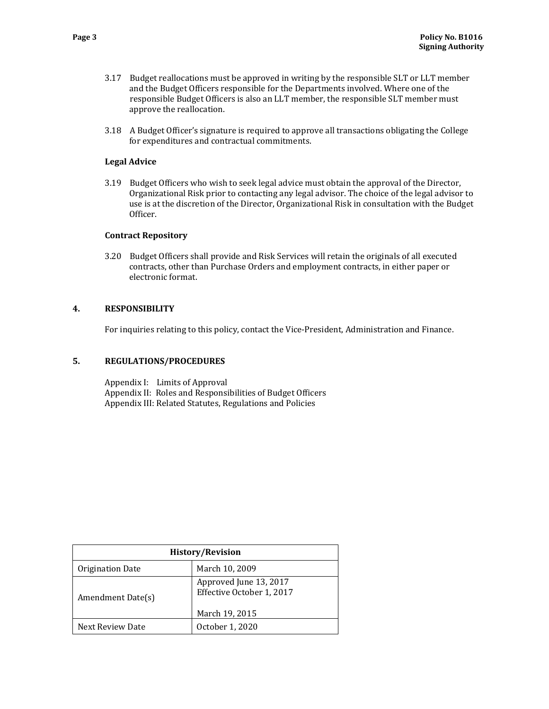- 3.17 Budget reallocations must be approved in writing by the responsible SLT or LLT member and the Budget Officers responsible for the Departments involved. Where one of the responsible Budget Officers is also an LLT member, the responsible SLT member must approve the reallocation.
- 3.18 A Budget Officer's signature is required to approve all transactions obligating the College for expenditures and contractual commitments.

# **Legal Advice**

3.19 Budget Officers who wish to seek legal advice must obtain the approval of the Director, Organizational Risk prior to contacting any legal advisor. The choice of the legal advisor to use is at the discretion of the Director, Organizational Risk in consultation with the Budget Officer. 

## **Contract Repository**

3.20 Budget Officers shall provide and Risk Services will retain the originals of all executed contracts, other than Purchase Orders and employment contracts, in either paper or electronic format.

## **4. RESPONSIBILITY**

For inquiries relating to this policy, contact the Vice-President, Administration and Finance.

## **5. REGULATIONS/PROCEDURES**

Appendix I: Limits of Approval Appendix II: Roles and Responsibilities of Budget Officers Appendix III: Related Statutes, Regulations and Policies

| <b>History/Revision</b> |                                                     |  |
|-------------------------|-----------------------------------------------------|--|
| Origination Date        | March 10, 2009                                      |  |
| Amendment Date(s)       | Approved June 13, 2017<br>Effective October 1, 2017 |  |
|                         | March 19, 2015                                      |  |
| Next Review Date        | October 1, 2020                                     |  |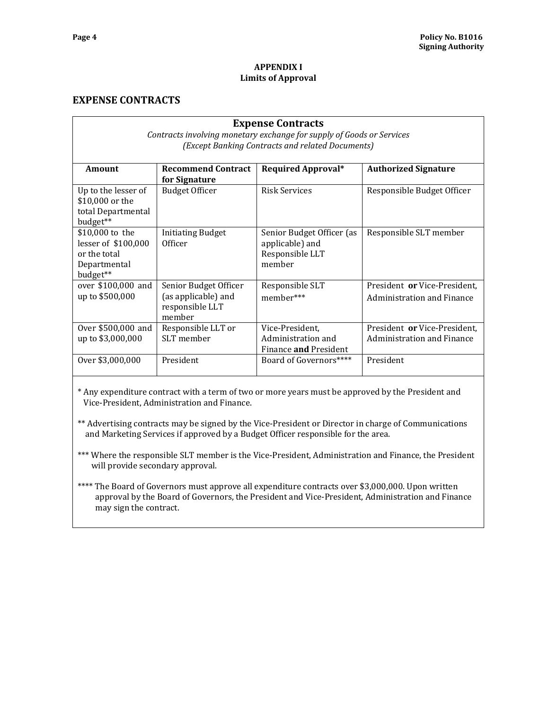### **APPENDIX I Limits of Approval**

# **EXPENSE CONTRACTS**

| <b>Expense Contracts</b><br>Contracts involving monetary exchange for supply of Goods or Services<br>(Except Banking Contracts and related Documents) |                                                                           |                                                                           |                                                            |
|-------------------------------------------------------------------------------------------------------------------------------------------------------|---------------------------------------------------------------------------|---------------------------------------------------------------------------|------------------------------------------------------------|
| <b>Amount</b>                                                                                                                                         | <b>Recommend Contract</b><br>for Signature                                | <b>Required Approval*</b>                                                 | <b>Authorized Signature</b>                                |
| Up to the lesser of<br>\$10,000 or the<br>total Departmental<br>budget**                                                                              | <b>Budget Officer</b>                                                     | Risk Services                                                             | Responsible Budget Officer                                 |
| \$10,000 to the<br>lesser of \$100,000<br>or the total<br>Departmental<br>budget**                                                                    | <b>Initiating Budget</b><br>Officer                                       | Senior Budget Officer (as<br>applicable) and<br>Responsible LLT<br>member | Responsible SLT member                                     |
| over \$100,000 and<br>up to \$500,000                                                                                                                 | Senior Budget Officer<br>(as applicable) and<br>responsible LLT<br>member | Responsible SLT<br>member***                                              | President or Vice-President,<br>Administration and Finance |
| Over \$500,000 and<br>up to \$3,000,000                                                                                                               | Responsible LLT or<br>SLT member                                          | Vice-President,<br>Administration and<br>Finance and President            | President or Vice-President,<br>Administration and Finance |
| Over \$3,000,000                                                                                                                                      | President                                                                 | Board of Governors****                                                    | President                                                  |

\* Any expenditure contract with a term of two or more years must be approved by the President and Vice-President, Administration and Finance.

\*\* Advertising contracts may be signed by the Vice-President or Director in charge of Communications and Marketing Services if approved by a Budget Officer responsible for the area.

\*\*\* Where the responsible SLT member is the Vice-President, Administration and Finance, the President will provide secondary approval.

\*\*\*\* The Board of Governors must approve all expenditure contracts over \$3,000,000. Upon written approval by the Board of Governors, the President and Vice-President, Administration and Finance may sign the contract.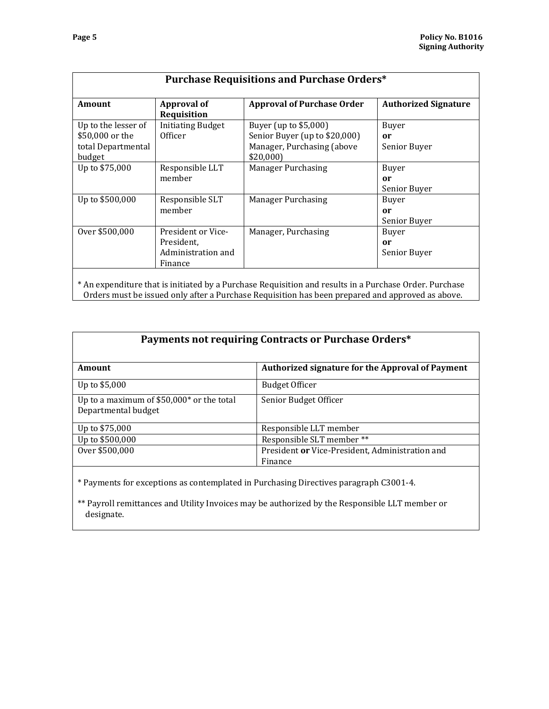| <b>Amount</b>                                                          | <b>Approval of</b><br>Requisition                                 | <b>Approval of Purchase Order</b>                                                                | <b>Authorized Signature</b>        |
|------------------------------------------------------------------------|-------------------------------------------------------------------|--------------------------------------------------------------------------------------------------|------------------------------------|
| Up to the lesser of<br>\$50,000 or the<br>total Departmental<br>budget | <b>Initiating Budget</b><br>Officer                               | Buyer (up to \$5,000)<br>Senior Buyer (up to \$20,000)<br>Manager, Purchasing (above<br>\$20,000 | Buyer<br>or<br>Senior Buyer        |
| Up to \$75,000                                                         | Responsible LLT<br>member                                         | <b>Manager Purchasing</b>                                                                        | Buyer<br>or<br>Senior Buyer        |
| Up to \$500,000                                                        | Responsible SLT<br>member                                         | <b>Manager Purchasing</b>                                                                        | Buyer<br>or<br>Senior Buyer        |
| Over \$500,000                                                         | President or Vice-<br>President.<br>Administration and<br>Finance | Manager, Purchasing                                                                              | <b>Buyer</b><br>or<br>Senior Buyer |

| Payments not requiring Contracts or Purchase Orders*             |                                                            |  |  |
|------------------------------------------------------------------|------------------------------------------------------------|--|--|
| Amount                                                           | <b>Authorized signature for the Approval of Payment</b>    |  |  |
| Up to \$5,000                                                    | <b>Budget Officer</b>                                      |  |  |
| Up to a maximum of \$50,000* or the total<br>Departmental budget | Senior Budget Officer                                      |  |  |
| Up to \$75,000                                                   | Responsible LLT member                                     |  |  |
| Up to \$500,000                                                  | Responsible SLT member **                                  |  |  |
| Over \$500,000                                                   | President or Vice-President, Administration and<br>Finance |  |  |

\* Payments for exceptions as contemplated in Purchasing Directives paragraph C3001‐4. 

\*\* Payroll remittances and Utility Invoices may be authorized by the Responsible LLT member or designate.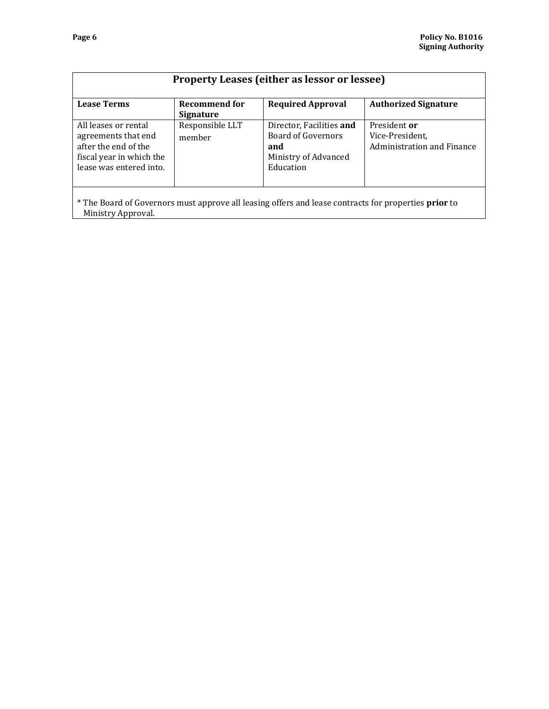| <b>Property Leases (either as lessor or lessee)</b>                                                                                     |                                          |                                                                                                   |                                                               |
|-----------------------------------------------------------------------------------------------------------------------------------------|------------------------------------------|---------------------------------------------------------------------------------------------------|---------------------------------------------------------------|
| <b>Lease Terms</b>                                                                                                                      | <b>Recommend for</b><br><b>Signature</b> | <b>Required Approval</b>                                                                          | <b>Authorized Signature</b>                                   |
| All leases or rental<br>agreements that end<br>after the end of the<br>fiscal year in which the<br>lease was entered into.              | Responsible LLT<br>member                | Director, Facilities and<br><b>Board of Governors</b><br>and<br>Ministry of Advanced<br>Education | President or<br>Vice-President,<br>Administration and Finance |
| $\star$ The Decoder Common measure in the state of the state of $f_{\rm max}$ and $f_{\rm max}$ and $f_{\rm max}$ and $f_{\rm max}$ and |                                          |                                                                                                   |                                                               |

\* The Board of Governors must approve all leasing offers and lease contracts for properties **prior** to Ministry Approval.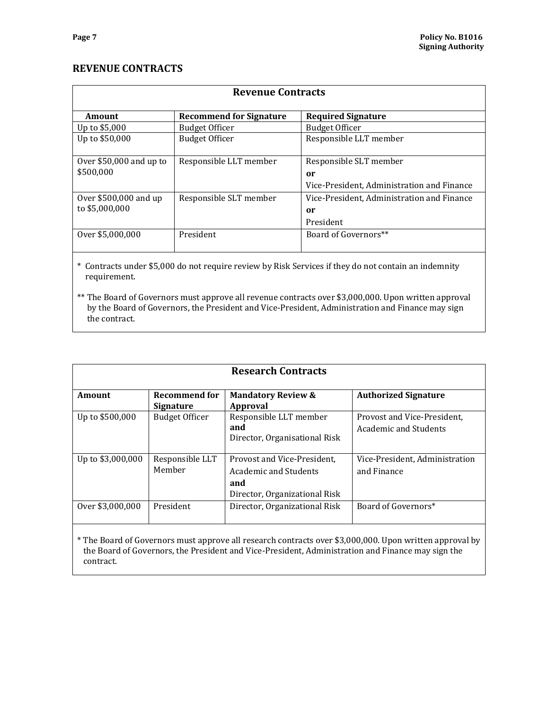# **REVENUE CONTRACTS**

| <b>Revenue Contracts</b> |                                |                                            |  |
|--------------------------|--------------------------------|--------------------------------------------|--|
| Amount                   | <b>Recommend for Signature</b> | <b>Required Signature</b>                  |  |
| Up to \$5,000            | <b>Budget Officer</b>          | <b>Budget Officer</b>                      |  |
| Up to \$50,000           | <b>Budget Officer</b>          | Responsible LLT member                     |  |
| Over $$50,000$ and up to | Responsible LLT member         | Responsible SLT member                     |  |
| \$500,000                |                                | or                                         |  |
|                          |                                | Vice-President, Administration and Finance |  |
| Over $$500,000$ and up   | Responsible SLT member         | Vice-President, Administration and Finance |  |
| to \$5,000,000           |                                | or                                         |  |
|                          |                                | President                                  |  |
| Over \$5,000,000         | President                      | Board of Governors**                       |  |
|                          |                                |                                            |  |

\* Contracts under \$5,000 do not require review by Risk Services if they do not contain an indemnity requirement. 

\*\* The Board of Governors must approve all revenue contracts over \$3,000,000. Upon written approval by the Board of Governors, the President and Vice-President, Administration and Finance may sign the contract.

| <b>Research Contracts</b> |                                          |                                                                                                    |                                                             |
|---------------------------|------------------------------------------|----------------------------------------------------------------------------------------------------|-------------------------------------------------------------|
| <b>Amount</b>             | <b>Recommend for</b><br><b>Signature</b> | <b>Mandatory Review &amp;</b><br>Approval                                                          | <b>Authorized Signature</b>                                 |
| Up to \$500,000           | <b>Budget Officer</b>                    | Responsible LLT member<br>and<br>Director, Organisational Risk                                     | Provost and Vice-President,<br><b>Academic and Students</b> |
| Up to \$3,000,000         | Responsible LLT<br>Member                | Provost and Vice-President,<br>Academic and Students<br>and<br>Director, Organizational Risk       | Vice-President, Administration<br>and Finance               |
| Over \$3,000,000          | President                                | Director, Organizational Risk<br>$\mathbf{u}$ . The set of $\mathbf{u}$ is the set of $\mathbf{u}$ | Board of Governors*                                         |

\* The Board of Governors must approve all research contracts over \$3,000,000. Upon written approval by the Board of Governors, the President and Vice-President, Administration and Finance may sign the contract.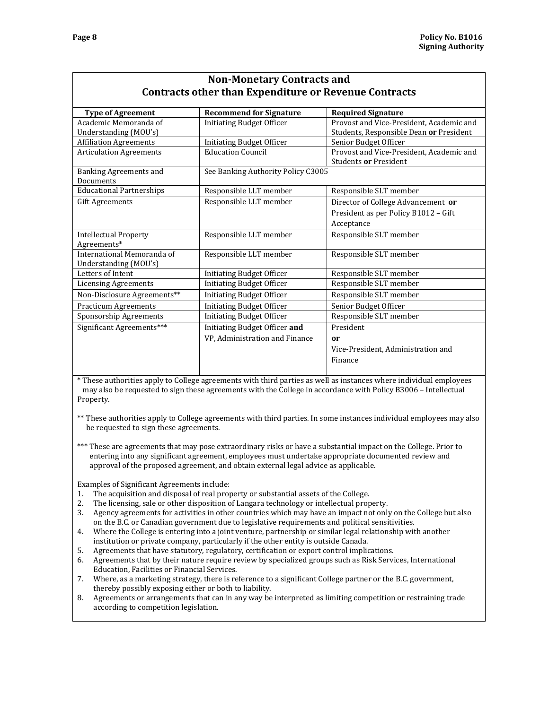| <b>Non-Monetary Contracts and</b> |                                                              |                                          |  |
|-----------------------------------|--------------------------------------------------------------|------------------------------------------|--|
|                                   | <b>Contracts other than Expenditure or Revenue Contracts</b> |                                          |  |
| <b>Type of Agreement</b>          | <b>Recommend for Signature</b>                               | <b>Required Signature</b>                |  |
| Academic Memoranda of             | <b>Initiating Budget Officer</b>                             | Provost and Vice-President, Academic and |  |
| Understanding (MOU's)             |                                                              | Students, Responsible Dean or President  |  |
| <b>Affiliation Agreements</b>     | <b>Initiating Budget Officer</b>                             | Senior Budget Officer                    |  |
| <b>Articulation Agreements</b>    | <b>Education Council</b>                                     | Provost and Vice-President, Academic and |  |
|                                   |                                                              | Students or President                    |  |
| Banking Agreements and            | See Banking Authority Policy C3005                           |                                          |  |
| Documents                         |                                                              |                                          |  |
| <b>Educational Partnerships</b>   | Responsible LLT member                                       | Responsible SLT member                   |  |
| <b>Gift Agreements</b>            | Responsible LLT member                                       | Director of College Advancement or       |  |
|                                   |                                                              | President as per Policy B1012 - Gift     |  |
|                                   |                                                              | Acceptance                               |  |
| <b>Intellectual Property</b>      | Responsible LLT member                                       | Responsible SLT member                   |  |
| Agreements*                       |                                                              |                                          |  |
| International Memoranda of        | Responsible LLT member                                       | Responsible SLT member                   |  |
| Understanding (MOU's)             |                                                              |                                          |  |
| Letters of Intent                 | <b>Initiating Budget Officer</b>                             | Responsible SLT member                   |  |
| <b>Licensing Agreements</b>       | <b>Initiating Budget Officer</b>                             | Responsible SLT member                   |  |
| Non-Disclosure Agreements**       | <b>Initiating Budget Officer</b>                             | Responsible SLT member                   |  |
| <b>Practicum Agreements</b>       | <b>Initiating Budget Officer</b>                             | Senior Budget Officer                    |  |
| Sponsorship Agreements            | <b>Initiating Budget Officer</b>                             | Responsible SLT member                   |  |
| Significant Agreements***         | Initiating Budget Officer and                                | President                                |  |
|                                   | VP, Administration and Finance                               | or                                       |  |
|                                   |                                                              | Vice-President, Administration and       |  |
|                                   |                                                              | Finance                                  |  |
|                                   |                                                              |                                          |  |

\* These authorities apply to College agreements with third parties as well as instances where individual employees may also be requested to sign these agreements with the College in accordance with Policy B3006 – Intellectual Property. 

\*\* These authorities apply to College agreements with third parties. In some instances individual employees may also be requested to sign these agreements.

\*\*\* These are agreements that may pose extraordinary risks or have a substantial impact on the College. Prior to entering into any significant agreement, employees must undertake appropriate documented review and approval of the proposed agreement, and obtain external legal advice as applicable.

Examples of Significant Agreements include:

- 1. The acquisition and disposal of real property or substantial assets of the College.
- 2. The licensing, sale or other disposition of Langara technology or intellectual property.
- 3. Agency agreements for activities in other countries which may have an impact not only on the College but also on the B.C. or Canadian government due to legislative requirements and political sensitivities.
- 4. Where the College is entering into a joint venture, partnership or similar legal relationship with another institution or private company, particularly if the other entity is outside Canada.
- 5. Agreements that have statutory, regulatory, certification or export control implications.
- 6. Agreements that by their nature require review by specialized groups such as Risk Services, International Education, Facilities or Financial Services.
- 7. Where, as a marketing strategy, there is reference to a significant College partner or the B.C. government, thereby possibly exposing either or both to liability.
- 8. Agreements or arrangements that can in any way be interpreted as limiting competition or restraining trade according to competition legislation.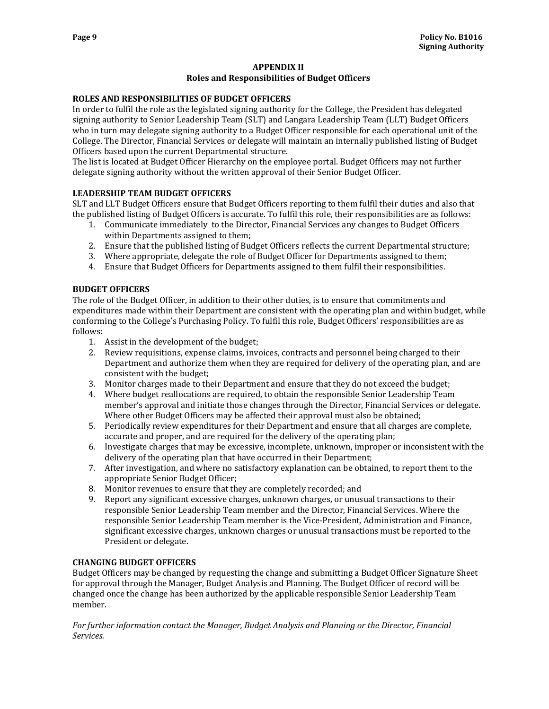### **APPENDIX II Roles and Responsibilities of Budget Officers**

### **ROLES AND RESPONSIBILITIES OF BUDGET OFFICERS**

In order to fulfil the role as the legislated signing authority for the College, the President has delegated signing authority to Senior Leadership Team (SLT) and Langara Leadership Team (LLT) Budget Officers who in turn may delegate signing authority to a Budget Officer responsible for each operational unit of the College. The Director, Financial Services or delegate will maintain an internally published listing of Budget Officers based upon the current Departmental structure.

The list is located at Budget Officer Hierarchy on the employee portal. Budget Officers may not further delegate signing authority without the written approval of their Senior Budget Officer.

### **LEADERSHIP TEAM BUDGET OFFICERS**

SLT and LLT Budget Officers ensure that Budget Officers reporting to them fulfil their duties and also that the published listing of Budget Officers is accurate. To fulfil this role, their responsibilities are as follows:

- 1. Communicate immediately to the Director, Financial Services any changes to Budget Officers within Departments assigned to them;
- 2. Ensure that the published listing of Budget Officers reflects the current Departmental structure;
- 3. Where appropriate, delegate the role of Budget Officer for Departments assigned to them;
- 4. Ensure that Budget Officers for Departments assigned to them fulfil their responsibilities.

### **BUDGET OFFICERS**

The role of the Budget Officer, in addition to their other duties, is to ensure that commitments and expenditures made within their Department are consistent with the operating plan and within budget, while conforming to the College's Purchasing Policy. To fulfil this role, Budget Officers' responsibilities are as follows: 

- 1. Assist in the development of the budget;
- 2. Review requisitions, expense claims, invoices, contracts and personnel being charged to their Department and authorize them when they are required for delivery of the operating plan, and are consistent with the budget;
- 3. Monitor charges made to their Department and ensure that they do not exceed the budget;
- 4. Where budget reallocations are required, to obtain the responsible Senior Leadership Team member's approval and initiate those changes through the Director, Financial Services or delegate. Where other Budget Officers may be affected their approval must also be obtained;
- 5. Periodically review expenditures for their Department and ensure that all charges are complete, accurate and proper, and are required for the delivery of the operating plan;
- 6. Investigate charges that may be excessive, incomplete, unknown, improper or inconsistent with the delivery of the operating plan that have occurred in their Department;
- 7. After investigation, and where no satisfactory explanation can be obtained, to report them to the appropriate Senior Budget Officer;
- 8. Monitor revenues to ensure that they are completely recorded; and
- 9. Report any significant excessive charges, unknown charges, or unusual transactions to their responsible Senior Leadership Team member and the Director, Financial Services. Where the responsible Senior Leadership Team member is the Vice-President, Administration and Finance, significant excessive charges, unknown charges or unusual transactions must be reported to the President or delegate.

### **CHANGING BUDGET OFFICERS**

Budget Officers may be changed by requesting the change and submitting a Budget Officer Signature Sheet for approval through the Manager, Budget Analysis and Planning. The Budget Officer of record will be changed once the change has been authorized by the applicable responsible Senior Leadership Team member. 

*For further information contact the Manager, Budget Analysis and Planning or the Director, Financial Services.*